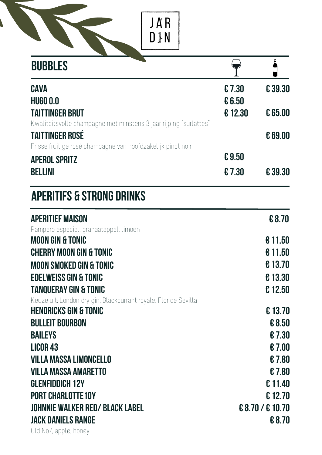JAR<br>D}N

 $\blacksquare$ 

| <b>BUBBLES</b>                                                    |        |                  |
|-------------------------------------------------------------------|--------|------------------|
| <b>CAVA</b>                                                       | €7.30  | €39.30           |
| <b>HUGO 0.0</b>                                                   | € 6.50 |                  |
| TAITTINGER BRUT                                                   | €12.30 | € 65.00          |
| Kwaliteitsvolle champagne met minstens 3 jaar rijping "surlattes" |        |                  |
| <b>TAITTINGER ROSÉ</b>                                            |        | € 69.00          |
| Frisse fruitige rosé champagne van hoofdzakelijk pinot noir       |        |                  |
| <b>APEROL SPRITZ</b>                                              | €9.50  |                  |
| BELLINI                                                           | €7.30  | € 39.30          |
| <b>APERITIFS &amp; STRONG DRINKS</b>                              |        |                  |
| <b>APERITIEF MAISON</b>                                           |        | €8.70            |
| Pampero especial, granaatappel, limoen                            |        |                  |
| <b>MOON GIN &amp; TONIC</b>                                       |        | € 11.50          |
| <b>CHERRY MOON GIN &amp; TONIC</b>                                |        | €11.50           |
| <b>MOON SMOKED GIN &amp; TONIC</b>                                |        | €13.70           |
| <b>EDELWEISS GIN &amp; TONIC</b>                                  |        | €13.30           |
| <b>TANQUERAY GIN &amp; TONIC</b>                                  |        | €12.50           |
| Keuze uit: London dry gin, Blackcurrant royale, Flor de Sevilla   |        |                  |
| <b>HENDRICKS GIN &amp; TONIC</b>                                  |        | €13.70           |
| <b>BULLEIT BOURBON</b>                                            |        | € 8.50           |
| <b>BAILEYS</b>                                                    |        | €7.30            |
| <b>LICOR 43</b>                                                   |        | €7.00            |
| <b>VILLA MASSA LIMONCELLO</b>                                     |        | €7.80            |
| <b>VILLA MASSA AMARETTO</b>                                       |        | €7.80            |
| <b>GLENFIDDICH 12Y</b>                                            |        | € 11.40          |
| <b>PORT CHARLOTTE 10Y</b>                                         |        | €12.70           |
| <b>JOHNNIE WALKER RED/ BLACK LABEL</b>                            |        | € 8.70 / € 10.70 |
| <b>JACK DANIELS RANGE</b>                                         |        | € 8.70           |
| Old No7, apple, honey                                             |        |                  |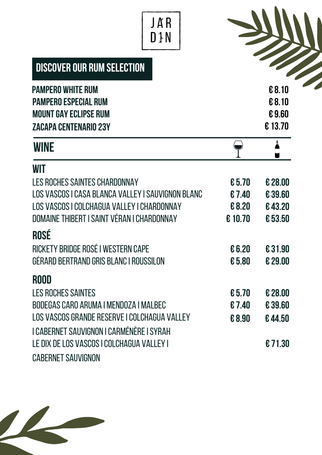# JAR<br>D}N

 $\overline{\phantom{a}}$ 

| <b>DISCOVER OUR RUM SELECTION</b> |  |
|-----------------------------------|--|
|-----------------------------------|--|

| <b>PAMPERO WHITE RUM</b>                                    |         | € 8.10          |
|-------------------------------------------------------------|---------|-----------------|
| <b>PAMPERO ESPECIAL RUM</b><br><b>MOUNT GAY ECLIPSE RUM</b> |         | € 8.10<br>€9.60 |
| <b>ZACAPA CENTENARIO 23Y</b>                                |         | €13.70          |
| <b>WINE</b>                                                 |         | Å               |
| <b>WIT</b>                                                  |         |                 |
| LES ROCHES SAINTES CHARDONNAY                               | € 5.70  | € 28.00         |
| LOS VASCOS I CASA BLANCA VALLEY I SAUVIGNON BLANC           | €7.40   | €39.60          |
| LOS VASCOS I COLCHAGUA VALLEY I CHARDONNAY                  | €8.20   | €43.20          |
| DOMAINE THIBERT I SAINT VÉRAN I CHARDONNAY                  | € 10.70 | €53.50          |
| <b>ROSÉ</b>                                                 |         |                 |
| RICKETY BRIDGE ROSÉ I WESTERN CAPE                          | € 6.20  | €31.90          |
| GÉRARD BERTRAND GRIS BLANC I ROUSSILON                      | €5.80   | € 29.00         |
| <b>ROOD</b>                                                 |         |                 |
| <b>LES ROCHES SAINTES</b>                                   | €5.70   | € 28.00         |
| BODEGAS CARO ARUMA I MENDOZA I MALBEC                       | €7.40   | €39.60          |
| LOS VASCOS GRANDE RESERVE I COLCHAGUA VALLEY                | €8.90   | €44.50          |
| I CABERNET SAUVIGNON I CARMÉNÈRE I SYRAH                    |         |                 |
| LE DIX DE LOS VASCOS I COLCHAGUA VALLEY I                   |         | €71.30          |
| <b>CABERNET SAUVIGNON</b>                                   |         |                 |

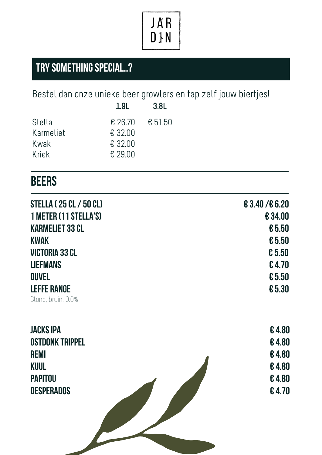

### **TRY SOMETHING SPECIAL..?**

Bestel dan onze unieke beer growlers en tap zelf jouw biertjes!

|           | 1.9 <sub>L</sub> | 3.8 <sub>L</sub> |
|-----------|------------------|------------------|
| Stella    | $\epsilon$ 26.70 | € 51.50          |
| Karmeliet | $£$ 32.00        |                  |
| Kwak      | € 32.00          |                  |
| Kriek     | € 29.00          |                  |
|           |                  |                  |

#### **BEERS**

| <b>STELLA (25 CL / 50 CL)</b> | € 3.40/€ 6.20 |
|-------------------------------|---------------|
| 1 METER (11 STELLA'S)         | €34.00        |
| <b>KARMELIET 33 CL</b>        | € 5.50        |
| <b>KWAK</b>                   | € 5.50        |
| <b>VICTORIA 33 CL</b>         | € 5.50        |
| <b>LIEFMANS</b>               | €4.70         |
| <b>DUVEL</b>                  | € 5.50        |
| <b>LEFFE RANGE</b>            | € 5.30        |
| Blond, bruin, 0.0%            |               |

| <b>JACKS IPA</b>       | €4.80 |
|------------------------|-------|
| <b>OSTDONK TRIPPEL</b> | €4.80 |
| <b>REMI</b>            | €4.80 |
| <b>KUUL</b>            | €4.80 |
| <b>PAPITOU</b>         | €4.80 |
| <b>DESPERADOS</b>      | €4.70 |
|                        |       |
|                        |       |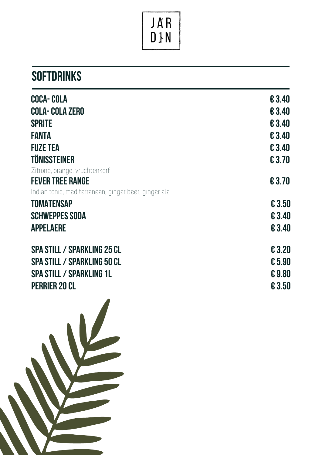

### **s** of tDRINKS

| <b>COCA-COLA</b>                                     | €3.40  |
|------------------------------------------------------|--------|
| <b>COLA-COLA ZERO</b>                                | € 3.40 |
| <b>SPRITE</b>                                        | € 3.40 |
| <b>FANTA</b>                                         | € 3.40 |
| <b>FUZE TEA</b>                                      | € 3.40 |
| <b>TÖNISSTEINER</b>                                  | € 3.70 |
| Zitrone, orange, vruchtenkorf                        |        |
| <b>FEVER TREE RANGE</b>                              | €3.70  |
| Indian tonic, mediterranean, ginger beer, ginger ale |        |
| <b>TOMATENSAP</b>                                    | € 3.50 |
| <b>SCHWEPPES SODA</b>                                | € 3.40 |
| <b>APPELAERE</b>                                     | € 3.40 |
| <b>SPA STILL / SPARKLING 25 CL</b>                   | € 3.20 |
| <b>SPA STILL / SPARKLING 50 CL</b>                   | € 5.90 |
| <b>SPA STILL / SPARKLING 1L</b>                      | €9.80  |
| <b>PERRIER 20 CL</b>                                 | € 3.50 |
|                                                      |        |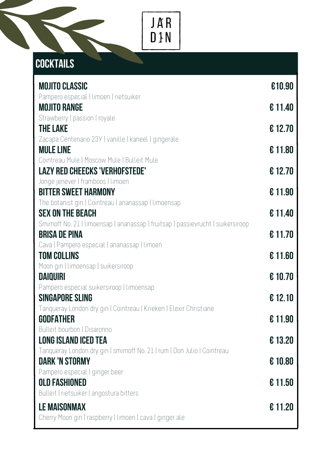

## **Cocktails**

| <b>MOJITO CLASSIC</b>                                                                             | €10.90  |
|---------------------------------------------------------------------------------------------------|---------|
| Pampero especial   limoen   rietsuiker<br><b>MOJITO RANGE</b>                                     | €11.40  |
| Strawberry   passion   royale                                                                     |         |
| <b>THE LAKE</b><br>Zacapa Centenario 23Y   vanille   kaneel   gingerale                           | € 12.70 |
| <b>MULE LINE</b>                                                                                  | €11.80  |
| Cointreau Mule   Moscow Mule   Bulleit Mule<br><b>LAZY RED CHEECKS 'VERHOFSTEDE'</b>              | € 12.70 |
| Jonge jenever   framboos   limoen                                                                 |         |
| <b>BITTER SWEET HARMONY</b>                                                                       | €11.90  |
| The botanist gin   Cointreau   ananassap   limoensap<br><b>SEX ON THE BEACH</b>                   | €11.40  |
| Smirnoff No. 21   limoensap   ananassap   fruitsap   passievrucht   suikersiroop                  |         |
| <b>BRISA DE PINA</b><br>Cava   Pampero especial   ananassap   limoen                              | €11.70  |
| <b>TOM COLLINS</b>                                                                                | € 11.60 |
| Moon gin   limoensap   suikersiroop                                                               |         |
| <b>DAIQUIRI</b><br>Pampero especial suikersiroop   limoensap                                      | € 10.70 |
| <b>SINGAPORE SLING</b>                                                                            | € 12.10 |
| Tanqueray London dry gin   Cointreau   Krieken   Elexir Christiane<br><b>GODFATHER</b>            | €11.90  |
| Bulleit bourbon   Disaronno                                                                       |         |
| <b>LONG ISLAND ICED TEA</b>                                                                       | €13.20  |
| Tanqueray London dry gin   smirnoff No. 21   rum   Don Julio   Cointreau<br><b>DARK 'N STORMY</b> | € 10.80 |
| Pampero especial   ginger beer                                                                    |         |
| <b>OLD FASHIONED</b>                                                                              | €11.50  |
| Bulleit   rietsuiker   angostura bitters<br><b>LE MAISONMAX</b>                                   | €11.20  |
| Cherry Moon gin   raspberry   limoen   cava   ginger ale                                          |         |